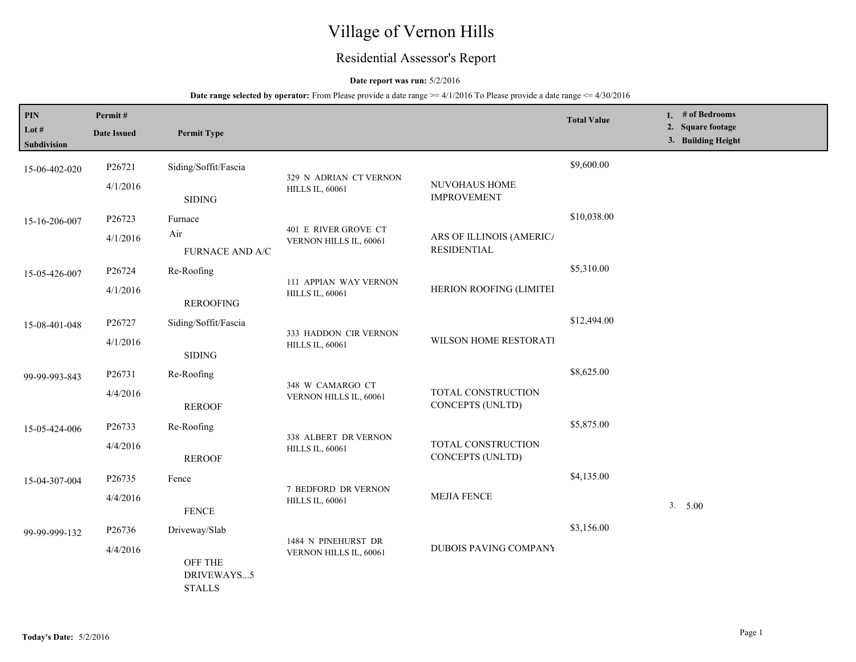# Village of Vernon Hills

## Residential Assessor's Report

## **Date report was run:** 5/2/2016

| PIN<br>Lot $#$<br>Subdivision | Permit#<br><b>Date Issued</b> | <b>Permit Type</b>                     |                                                  |                                                | <b>Total Value</b> | 1. # of Bedrooms<br>2. Square footage<br>3. Building Height |
|-------------------------------|-------------------------------|----------------------------------------|--------------------------------------------------|------------------------------------------------|--------------------|-------------------------------------------------------------|
| 15-06-402-020                 | P26721                        | Siding/Soffit/Fascia                   |                                                  |                                                | \$9,600.00         |                                                             |
|                               | 4/1/2016                      | <b>SIDING</b>                          | 329 N ADRIAN CT VERNON<br><b>HILLS IL, 60061</b> | NUVOHAUS HOME<br><b>IMPROVEMENT</b>            |                    |                                                             |
| 15-16-206-007                 | P26723                        | Furnace                                |                                                  |                                                | \$10,038.00        |                                                             |
|                               | 4/1/2016                      | Air<br><b>FURNACE AND A/C</b>          | 401 E RIVER GROVE CT<br>VERNON HILLS IL, 60061   | ARS OF ILLINOIS (AMERICA<br><b>RESIDENTIAL</b> |                    |                                                             |
| 15-05-426-007                 | P26724                        | Re-Roofing                             |                                                  |                                                | \$5,310.00         |                                                             |
|                               | 4/1/2016                      | <b>REROOFING</b>                       | 111 APPIAN WAY VERNON<br><b>HILLS IL, 60061</b>  | HERION ROOFING (LIMITEI                        |                    |                                                             |
| 15-08-401-048                 | P26727                        | Siding/Soffit/Fascia                   |                                                  |                                                | \$12,494.00        |                                                             |
|                               | 4/1/2016                      | <b>SIDING</b>                          | 333 HADDON CIR VERNON<br><b>HILLS IL, 60061</b>  | WILSON HOME RESTORATI                          |                    |                                                             |
| 99-99-993-843                 | P26731                        | Re-Roofing                             |                                                  |                                                | \$8,625.00         |                                                             |
|                               | 4/4/2016                      | <b>REROOF</b>                          | 348 W CAMARGO CT<br>VERNON HILLS IL, 60061       | TOTAL CONSTRUCTION<br>CONCEPTS (UNLTD)         |                    |                                                             |
| 15-05-424-006                 | P26733                        | Re-Roofing                             |                                                  |                                                | \$5,875.00         |                                                             |
|                               | 4/4/2016                      | <b>REROOF</b>                          | 338 ALBERT DR VERNON<br><b>HILLS IL, 60061</b>   | TOTAL CONSTRUCTION<br>CONCEPTS (UNLTD)         |                    |                                                             |
| 15-04-307-004                 | P26735                        | Fence                                  |                                                  |                                                | \$4,135.00         |                                                             |
|                               | 4/4/2016                      | <b>FENCE</b>                           | 7 BEDFORD DR VERNON<br><b>HILLS IL, 60061</b>    | <b>MEJIA FENCE</b>                             |                    | 3. 5.00                                                     |
| 99-99-999-132                 | P <sub>26736</sub>            | Driveway/Slab                          |                                                  |                                                | \$3,156.00         |                                                             |
|                               | 4/4/2016                      | OFF THE<br>DRIVEWAYS5<br><b>STALLS</b> | 1484 N PINEHURST DR<br>VERNON HILLS IL, 60061    | <b>DUBOIS PAVING COMPANY</b>                   |                    |                                                             |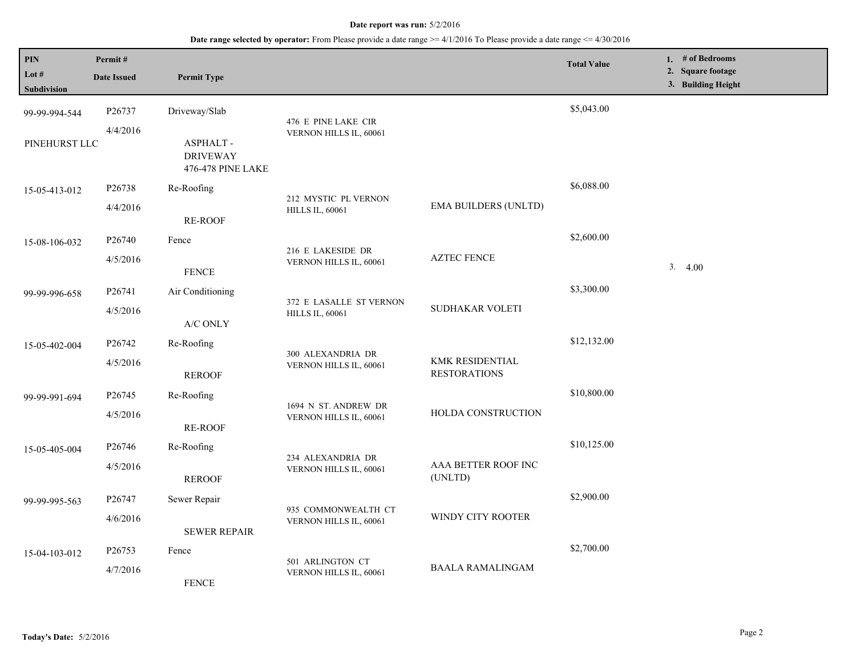| <b>PIN</b><br>Lot $#$<br>Subdivision | Permit#<br><b>Date Issued</b> | <b>Permit Type</b>                                      |                                                |                                        | <b>Total Value</b> | 1. $#$ of Bedrooms<br>2. Square footage<br>3. Building Height |
|--------------------------------------|-------------------------------|---------------------------------------------------------|------------------------------------------------|----------------------------------------|--------------------|---------------------------------------------------------------|
| 99-99-994-544                        | P26737                        | Driveway/Slab                                           |                                                |                                        | \$5,043.00         |                                                               |
| PINEHURST LLC                        | 4/4/2016                      | <b>ASPHALT-</b><br><b>DRIVEWAY</b><br>476-478 PINE LAKE | 476 E PINE LAKE CIR<br>VERNON HILLS IL, 60061  |                                        |                    |                                                               |
| 15-05-413-012                        | P26738                        | Re-Roofing                                              |                                                |                                        | \$6,088.00         |                                                               |
|                                      | 4/4/2016                      | <b>RE-ROOF</b>                                          | 212 MYSTIC PL VERNON<br><b>HILLS IL, 60061</b> | <b>EMA BUILDERS (UNLTD)</b>            |                    |                                                               |
| 15-08-106-032                        | P26740                        | Fence                                                   | 216 E LAKESIDE DR                              |                                        | \$2,600.00         |                                                               |
|                                      | 4/5/2016                      | <b>FENCE</b>                                            | VERNON HILLS IL, 60061                         | <b>AZTEC FENCE</b>                     |                    | 3.<br>4.00                                                    |
| 99-99-996-658                        | P26741                        | Air Conditioning                                        | 372 E LASALLE ST VERNON                        |                                        | \$3,300.00         |                                                               |
|                                      | 4/5/2016                      | A/C ONLY                                                | <b>HILLS IL, 60061</b>                         | SUDHAKAR VOLETI                        |                    |                                                               |
| 15-05-402-004                        | P26742                        | Re-Roofing                                              | 300 ALEXANDRIA DR                              | KMK RESIDENTIAL<br><b>RESTORATIONS</b> | \$12,132.00        |                                                               |
|                                      | 4/5/2016                      | <b>REROOF</b>                                           | VERNON HILLS IL, 60061                         |                                        |                    |                                                               |
| 99-99-991-694                        | P <sub>26745</sub>            | Re-Roofing                                              | 1694 N ST. ANDREW DR                           |                                        | \$10,800.00        |                                                               |
|                                      | 4/5/2016                      | <b>RE-ROOF</b>                                          | VERNON HILLS IL, 60061                         | HOLDA CONSTRUCTION                     |                    |                                                               |
| 15-05-405-004                        | P26746                        | Re-Roofing                                              | 234 ALEXANDRIA DR                              |                                        | \$10,125.00        |                                                               |
|                                      | 4/5/2016                      | <b>REROOF</b>                                           | VERNON HILLS IL, 60061                         | AAA BETTER ROOF INC<br>(UNLTD)         |                    |                                                               |
| 99-99-995-563                        | P26747                        | Sewer Repair                                            | 935 COMMONWEALTH CT                            |                                        | \$2,900.00         |                                                               |
|                                      | 4/6/2016                      | <b>SEWER REPAIR</b>                                     | VERNON HILLS IL, 60061                         | WINDY CITY ROOTER                      |                    |                                                               |
| 15-04-103-012                        | P26753                        | Fence                                                   |                                                | <b>BAALA RAMALINGAM</b>                | \$2,700.00         |                                                               |
|                                      | 4/7/2016                      | <b>FENCE</b>                                            | 501 ARLINGTON CT<br>VERNON HILLS IL, 60061     |                                        |                    |                                                               |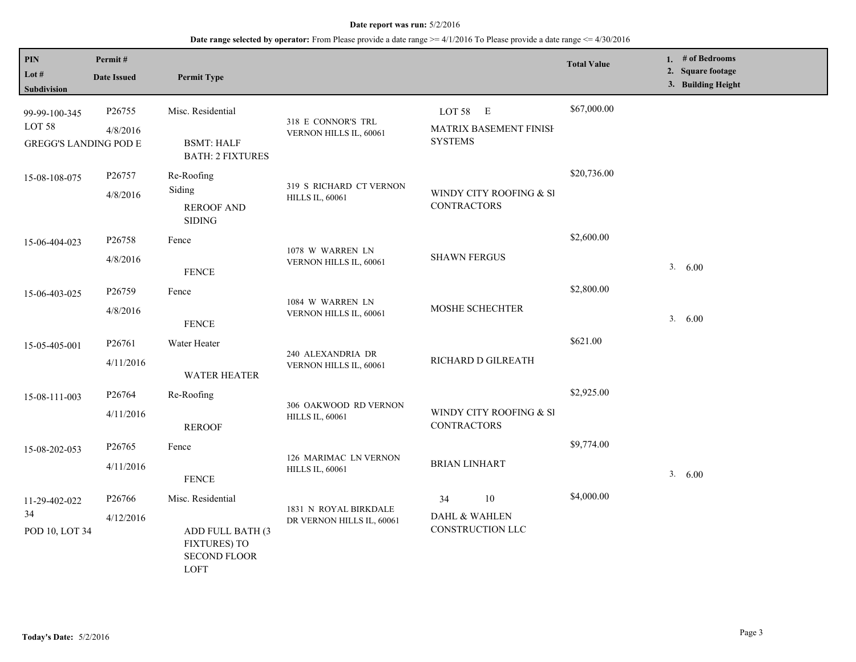| PIN<br>Lot #<br>Subdivision                                        | Permit#<br><b>Date Issued</b> | <b>Permit Type</b>                                                                          |                                                    |                                                      | <b>Total Value</b> | 1. # of Bedrooms<br>2. Square footage<br>3. Building Height |
|--------------------------------------------------------------------|-------------------------------|---------------------------------------------------------------------------------------------|----------------------------------------------------|------------------------------------------------------|--------------------|-------------------------------------------------------------|
| 99-99-100-345<br>LOT <sub>58</sub><br><b>GREGG'S LANDING POD E</b> | P26755<br>4/8/2016            | Misc. Residential<br><b>BSMT: HALF</b><br><b>BATH: 2 FIXTURES</b>                           | 318 E CONNOR'S TRL<br>VERNON HILLS IL, 60061       | LOT 58 E<br>MATRIX BASEMENT FINISH<br><b>SYSTEMS</b> | \$67,000.00        |                                                             |
| 15-08-108-075                                                      | P26757<br>4/8/2016            | Re-Roofing<br>Siding<br><b>REROOF AND</b><br><b>SIDING</b>                                  | 319 S RICHARD CT VERNON<br><b>HILLS IL, 60061</b>  | WINDY CITY ROOFING & SI<br><b>CONTRACTORS</b>        | \$20,736.00        |                                                             |
| 15-06-404-023                                                      | P26758<br>4/8/2016            | Fence<br><b>FENCE</b>                                                                       | 1078 W WARREN LN<br>VERNON HILLS IL, 60061         | <b>SHAWN FERGUS</b>                                  | \$2,600.00         | 3. 6.00                                                     |
| 15-06-403-025                                                      | P26759<br>4/8/2016            | Fence<br><b>FENCE</b>                                                                       | 1084 W WARREN LN<br>VERNON HILLS IL, 60061         | MOSHE SCHECHTER                                      | \$2,800.00         | 3. 6.00                                                     |
| 15-05-405-001                                                      | P26761<br>4/11/2016           | Water Heater<br><b>WATER HEATER</b>                                                         | 240 ALEXANDRIA DR<br>VERNON HILLS IL, 60061        | RICHARD D GILREATH                                   | \$621.00           |                                                             |
| 15-08-111-003                                                      | P26764<br>4/11/2016           | Re-Roofing<br><b>REROOF</b>                                                                 | 306 OAKWOOD RD VERNON<br><b>HILLS IL, 60061</b>    | WINDY CITY ROOFING & SI<br><b>CONTRACTORS</b>        | \$2,925.00         |                                                             |
| 15-08-202-053                                                      | P26765<br>4/11/2016           | Fence<br><b>FENCE</b>                                                                       | 126 MARIMAC LN VERNON<br><b>HILLS IL, 60061</b>    | <b>BRIAN LINHART</b>                                 | \$9,774.00         | 3. 6.00                                                     |
| 11-29-402-022<br>34<br>POD 10, LOT 34                              | P26766<br>4/12/2016           | Misc. Residential<br>ADD FULL BATH (3<br><b>FIXTURES) TO</b><br><b>SECOND FLOOR</b><br>LOFT | 1831 N ROYAL BIRKDALE<br>DR VERNON HILLS IL, 60061 | 10<br>34<br>DAHL & WAHLEN<br>CONSTRUCTION LLC        | \$4,000.00         |                                                             |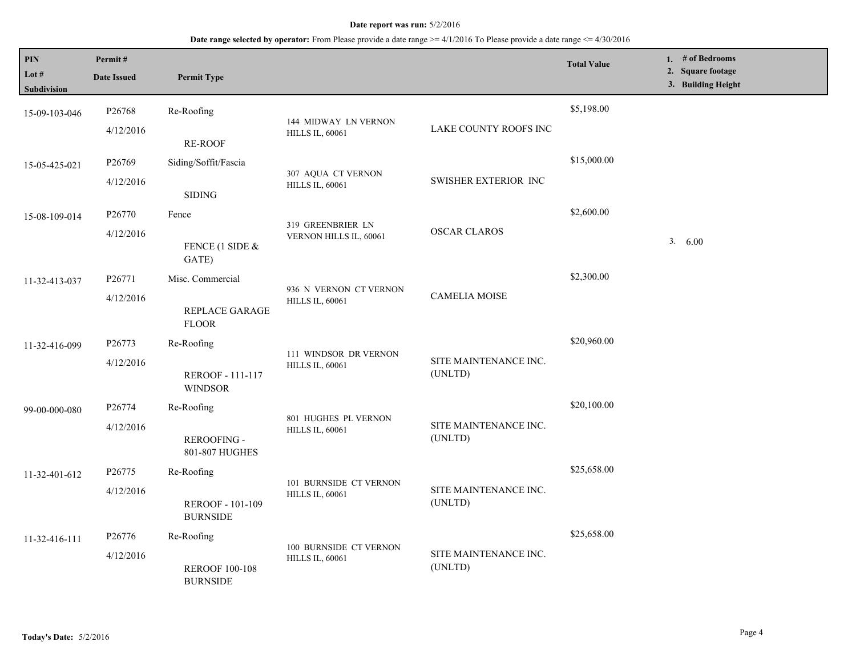| PIN<br>Lot #<br>Subdivision | Permit#<br><b>Date Issued</b>   | <b>Permit Type</b>                                       |                                                  |                                  | <b>Total Value</b> | 1. # of Bedrooms<br>2. Square footage<br>3. Building Height |
|-----------------------------|---------------------------------|----------------------------------------------------------|--------------------------------------------------|----------------------------------|--------------------|-------------------------------------------------------------|
| 15-09-103-046               | P26768<br>4/12/2016             | Re-Roofing<br>RE-ROOF                                    | 144 MIDWAY LN VERNON<br><b>HILLS IL, 60061</b>   | LAKE COUNTY ROOFS INC            | \$5,198.00         |                                                             |
| 15-05-425-021               | P26769<br>4/12/2016             | Siding/Soffit/Fascia<br><b>SIDING</b>                    | 307 AQUA CT VERNON<br><b>HILLS IL, 60061</b>     | SWISHER EXTERIOR INC             | \$15,000.00        |                                                             |
| 15-08-109-014               | P26770<br>4/12/2016             | Fence<br>FENCE (1 SIDE $&$<br>GATE)                      | 319 GREENBRIER LN<br>VERNON HILLS IL, 60061      | <b>OSCAR CLAROS</b>              | \$2,600.00         | 3. 6.00                                                     |
| 11-32-413-037               | P26771<br>4/12/2016             | Misc. Commercial<br>REPLACE GARAGE<br><b>FLOOR</b>       | 936 N VERNON CT VERNON<br><b>HILLS IL, 60061</b> | <b>CAMELIA MOISE</b>             | \$2,300.00         |                                                             |
| 11-32-416-099               | P26773<br>4/12/2016             | Re-Roofing<br>REROOF - 111-117<br><b>WINDSOR</b>         | 111 WINDSOR DR VERNON<br><b>HILLS IL, 60061</b>  | SITE MAINTENANCE INC.<br>(UNLTD) | \$20,960.00        |                                                             |
| 99-00-000-080               | P <sub>26774</sub><br>4/12/2016 | Re-Roofing<br>REROOFING -<br>801-807 HUGHES              | 801 HUGHES PL VERNON<br><b>HILLS IL, 60061</b>   | SITE MAINTENANCE INC.<br>(UNLTD) | \$20,100.00        |                                                             |
| 11-32-401-612               | P26775<br>4/12/2016             | Re-Roofing<br><b>REROOF - 101-109</b><br><b>BURNSIDE</b> | 101 BURNSIDE CT VERNON<br><b>HILLS IL, 60061</b> | SITE MAINTENANCE INC.<br>(UNLTD) | \$25,658.00        |                                                             |
| 11-32-416-111               | P26776<br>4/12/2016             | Re-Roofing<br><b>REROOF 100-108</b><br><b>BURNSIDE</b>   | 100 BURNSIDE CT VERNON<br><b>HILLS IL, 60061</b> | SITE MAINTENANCE INC.<br>(UNLTD) | \$25,658.00        |                                                             |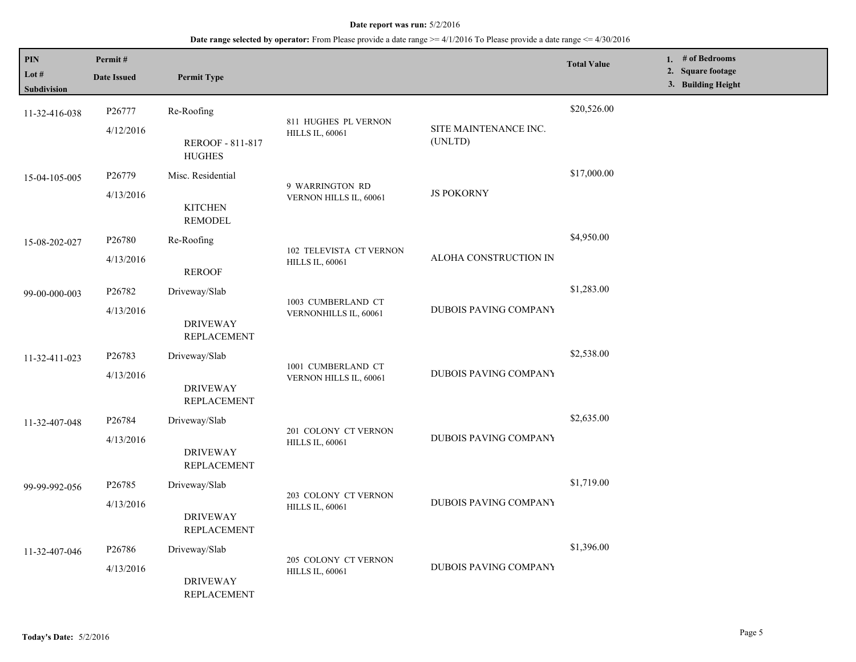| PIN<br>Lot #<br>Subdivision | Permit#<br><b>Date Issued</b>   | <b>Permit Type</b>                                     |                                                   |                                  | <b>Total Value</b> | 1. # of Bedrooms<br>2. Square footage<br>3. Building Height |
|-----------------------------|---------------------------------|--------------------------------------------------------|---------------------------------------------------|----------------------------------|--------------------|-------------------------------------------------------------|
| 11-32-416-038               | P26777<br>4/12/2016             | Re-Roofing<br><b>REROOF - 811-817</b><br><b>HUGHES</b> | 811 HUGHES PL VERNON<br><b>HILLS IL, 60061</b>    | SITE MAINTENANCE INC.<br>(UNLTD) | \$20,526.00        |                                                             |
| 15-04-105-005               | P <sub>26779</sub><br>4/13/2016 | Misc. Residential<br><b>KITCHEN</b><br><b>REMODEL</b>  | 9 WARRINGTON RD<br>VERNON HILLS IL, 60061         | <b>JS POKORNY</b>                | \$17,000.00        |                                                             |
| 15-08-202-027               | P26780<br>4/13/2016             | Re-Roofing<br><b>REROOF</b>                            | 102 TELEVISTA CT VERNON<br><b>HILLS IL, 60061</b> | ALOHA CONSTRUCTION IN            | \$4,950.00         |                                                             |
| 99-00-000-003               | P26782<br>4/13/2016             | Driveway/Slab<br><b>DRIVEWAY</b><br><b>REPLACEMENT</b> | 1003 CUMBERLAND CT<br>VERNONHILLS IL, 60061       | <b>DUBOIS PAVING COMPANY</b>     | \$1,283.00         |                                                             |
| 11-32-411-023               | P26783<br>4/13/2016             | Driveway/Slab<br><b>DRIVEWAY</b><br><b>REPLACEMENT</b> | 1001 CUMBERLAND CT<br>VERNON HILLS IL, 60061      | DUBOIS PAVING COMPANY            | \$2,538.00         |                                                             |
| 11-32-407-048               | P26784<br>4/13/2016             | Driveway/Slab<br><b>DRIVEWAY</b><br><b>REPLACEMENT</b> | 201 COLONY CT VERNON<br><b>HILLS IL, 60061</b>    | DUBOIS PAVING COMPANY            | \$2,635.00         |                                                             |
| 99-99-992-056               | P <sub>26785</sub><br>4/13/2016 | Driveway/Slab<br><b>DRIVEWAY</b><br><b>REPLACEMENT</b> | 203 COLONY CT VERNON<br><b>HILLS IL, 60061</b>    | DUBOIS PAVING COMPANY            | \$1,719.00         |                                                             |
| 11-32-407-046               | P26786<br>4/13/2016             | Driveway/Slab<br><b>DRIVEWAY</b><br><b>REPLACEMENT</b> | 205 COLONY CT VERNON<br><b>HILLS IL, 60061</b>    | <b>DUBOIS PAVING COMPANY</b>     | \$1,396.00         |                                                             |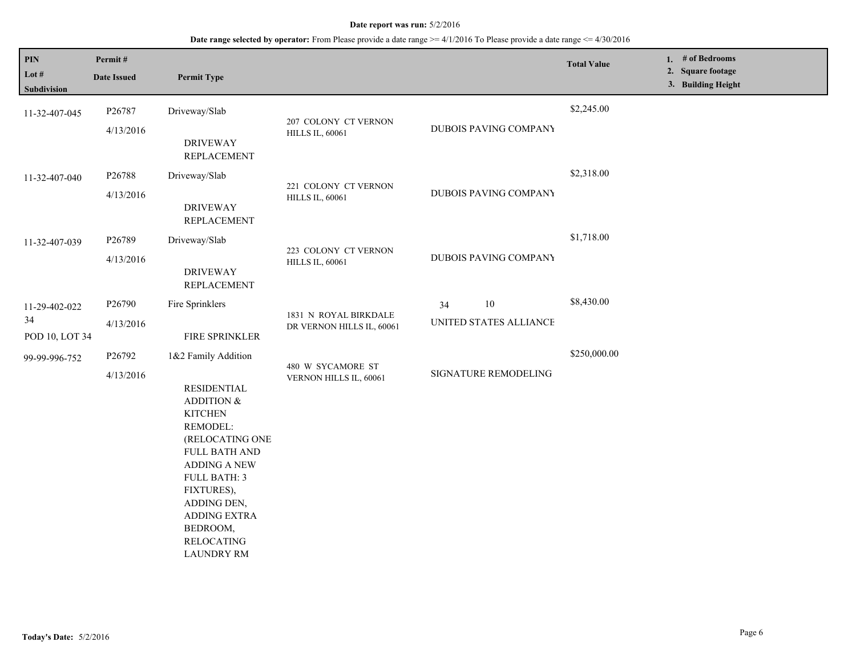| PIN                                   | Permit#             |                                                                                                                                                                                                                                                                                          |                                                    |                                        | <b>Total Value</b> | 1. # of Bedrooms                        |
|---------------------------------------|---------------------|------------------------------------------------------------------------------------------------------------------------------------------------------------------------------------------------------------------------------------------------------------------------------------------|----------------------------------------------------|----------------------------------------|--------------------|-----------------------------------------|
| Lot #<br>Subdivision                  | <b>Date Issued</b>  | <b>Permit Type</b>                                                                                                                                                                                                                                                                       |                                                    |                                        |                    | 2. Square footage<br>3. Building Height |
| 11-32-407-045                         | P26787<br>4/13/2016 | Driveway/Slab<br><b>DRIVEWAY</b><br><b>REPLACEMENT</b>                                                                                                                                                                                                                                   | 207 COLONY CT VERNON<br><b>HILLS IL, 60061</b>     | DUBOIS PAVING COMPANY                  | \$2,245.00         |                                         |
| 11-32-407-040                         | P26788<br>4/13/2016 | Driveway/Slab<br><b>DRIVEWAY</b><br><b>REPLACEMENT</b>                                                                                                                                                                                                                                   | 221 COLONY CT VERNON<br><b>HILLS IL, 60061</b>     | DUBOIS PAVING COMPANY                  | \$2,318.00         |                                         |
| 11-32-407-039                         | P26789<br>4/13/2016 | Driveway/Slab<br><b>DRIVEWAY</b><br><b>REPLACEMENT</b>                                                                                                                                                                                                                                   | 223 COLONY CT VERNON<br><b>HILLS IL, 60061</b>     | DUBOIS PAVING COMPANY                  | \$1,718.00         |                                         |
| 11-29-402-022<br>34<br>POD 10, LOT 34 | P26790<br>4/13/2016 | Fire Sprinklers<br>FIRE SPRINKLER                                                                                                                                                                                                                                                        | 1831 N ROYAL BIRKDALE<br>DR VERNON HILLS IL, 60061 | $10\,$<br>34<br>UNITED STATES ALLIANCE | \$8,430.00         |                                         |
| 99-99-996-752                         | P26792<br>4/13/2016 | 1&2 Family Addition<br><b>RESIDENTIAL</b><br>ADDITION &<br><b>KITCHEN</b><br>REMODEL:<br>(RELOCATING ONE<br><b>FULL BATH AND</b><br><b>ADDING A NEW</b><br><b>FULL BATH: 3</b><br>FIXTURES),<br>ADDING DEN,<br><b>ADDING EXTRA</b><br>BEDROOM,<br><b>RELOCATING</b><br><b>LAUNDRY RM</b> | 480 W SYCAMORE ST<br>VERNON HILLS IL, 60061        | SIGNATURE REMODELING                   | \$250,000.00       |                                         |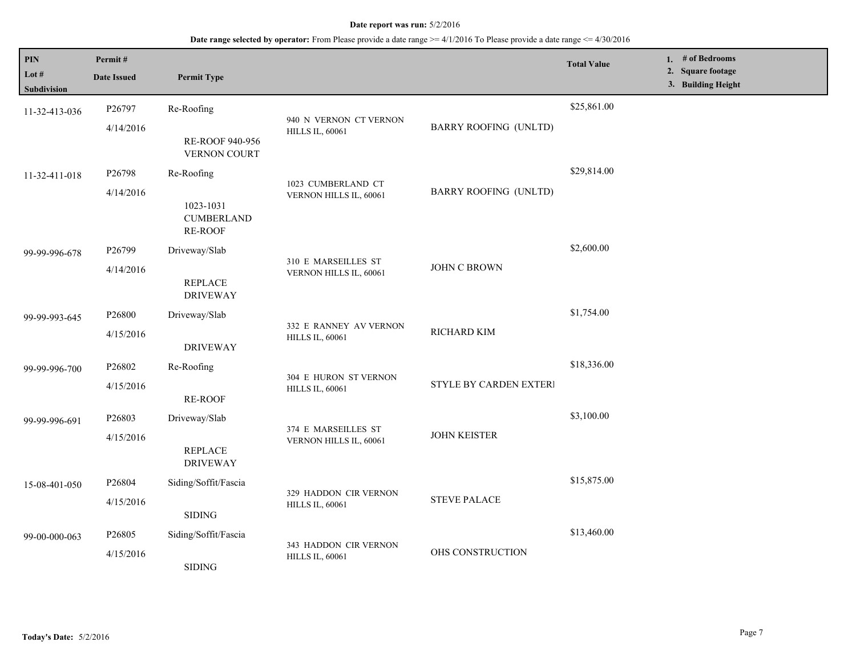| $\mathbf{PIN}$<br>Lot #<br><b>Subdivision</b> | Permit#<br><b>Date Issued</b> | <b>Permit Type</b>                                      |                                                  |                              | <b>Total Value</b> | 1. # of Bedrooms<br>2. Square footage<br>3. Building Height |
|-----------------------------------------------|-------------------------------|---------------------------------------------------------|--------------------------------------------------|------------------------------|--------------------|-------------------------------------------------------------|
| 11-32-413-036                                 | P26797<br>4/14/2016           | Re-Roofing<br>RE-ROOF 940-956<br>VERNON COURT           | 940 N VERNON CT VERNON<br><b>HILLS IL, 60061</b> | <b>BARRY ROOFING (UNLTD)</b> | \$25,861.00        |                                                             |
| 11-32-411-018                                 | P26798<br>4/14/2016           | Re-Roofing<br>1023-1031<br><b>CUMBERLAND</b><br>RE-ROOF | 1023 CUMBERLAND CT<br>VERNON HILLS IL, 60061     | <b>BARRY ROOFING (UNLTD)</b> | \$29,814.00        |                                                             |
| 99-99-996-678                                 | P26799<br>4/14/2016           | Driveway/Slab<br><b>REPLACE</b><br><b>DRIVEWAY</b>      | 310 E MARSEILLES ST<br>VERNON HILLS IL, 60061    | JOHN C BROWN                 | \$2,600.00         |                                                             |
| 99-99-993-645                                 | P26800<br>4/15/2016           | Driveway/Slab<br><b>DRIVEWAY</b>                        | 332 E RANNEY AV VERNON<br><b>HILLS IL, 60061</b> | RICHARD KIM                  | \$1,754.00         |                                                             |
| 99-99-996-700                                 | P26802<br>4/15/2016           | Re-Roofing<br>RE-ROOF                                   | 304 E HURON ST VERNON<br><b>HILLS IL, 60061</b>  | STYLE BY CARDEN EXTERI       | \$18,336.00        |                                                             |
| 99-99-996-691                                 | P26803<br>4/15/2016           | Driveway/Slab<br><b>REPLACE</b><br><b>DRIVEWAY</b>      | 374 E MARSEILLES ST<br>VERNON HILLS IL, 60061    | <b>JOHN KEISTER</b>          | \$3,100.00         |                                                             |
| 15-08-401-050                                 | P26804<br>4/15/2016           | Siding/Soffit/Fascia<br><b>SIDING</b>                   | 329 HADDON CIR VERNON<br><b>HILLS IL, 60061</b>  | <b>STEVE PALACE</b>          | \$15,875.00        |                                                             |
| 99-00-000-063                                 | P26805<br>4/15/2016           | Siding/Soffit/Fascia<br><b>SIDING</b>                   | 343 HADDON CIR VERNON<br><b>HILLS IL, 60061</b>  | OHS CONSTRUCTION             | \$13,460.00        |                                                             |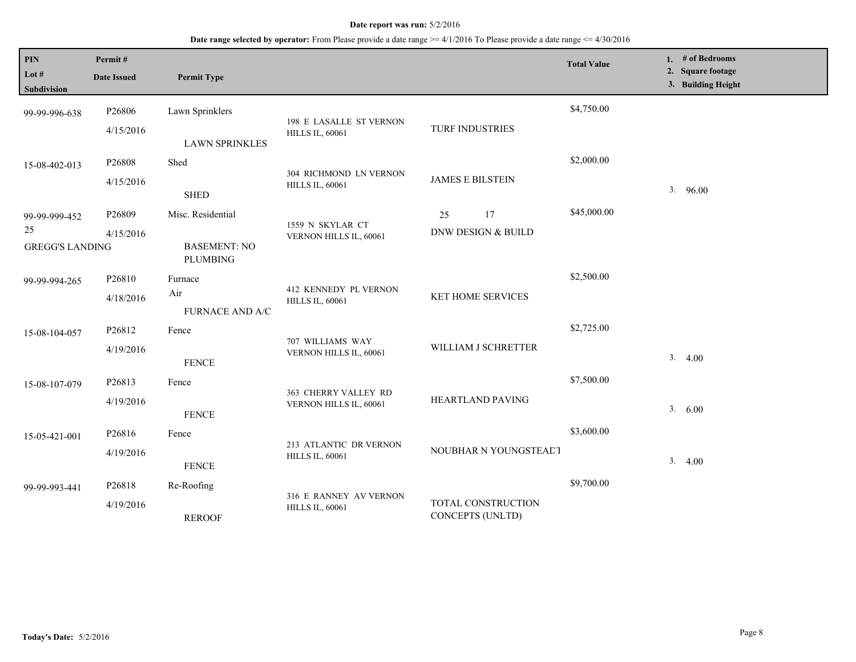| PIN<br>Lot $#$<br><b>Subdivision</b> | Permit#<br><b>Date Issued</b>   | <b>Permit Type</b>                     |                                                   |                                        | <b>Total Value</b> | 1. $#$ of Bedrooms<br>2. Square footage<br>3. Building Height |  |
|--------------------------------------|---------------------------------|----------------------------------------|---------------------------------------------------|----------------------------------------|--------------------|---------------------------------------------------------------|--|
| 99-99-996-638                        | P26806<br>4/15/2016             | Lawn Sprinklers                        | 198 E LASALLE ST VERNON<br><b>HILLS IL, 60061</b> | TURF INDUSTRIES                        | \$4,750.00         |                                                               |  |
| 15-08-402-013                        | P26808<br>4/15/2016             | <b>LAWN SPRINKLES</b><br>Shed          | 304 RICHMOND LN VERNON<br><b>HILLS IL, 60061</b>  | <b>JAMES E BILSTEIN</b>                | \$2,000.00         |                                                               |  |
| 99-99-999-452<br>25                  | P26809<br>4/15/2016             | <b>SHED</b><br>Misc. Residential       | 1559 N SKYLAR CT<br>VERNON HILLS IL, 60061        | 17<br>25<br>DNW DESIGN & BUILD         | \$45,000.00        | 3.96.00                                                       |  |
| <b>GREGG'S LANDING</b>               |                                 | <b>BASEMENT: NO</b><br><b>PLUMBING</b> |                                                   |                                        | \$2,500.00         |                                                               |  |
| 99-99-994-265                        | P <sub>26810</sub><br>4/18/2016 | Furnace<br>Air<br>FURNACE AND A/C      | 412 KENNEDY PL VERNON<br><b>HILLS IL, 60061</b>   | KET HOME SERVICES                      |                    |                                                               |  |
| 15-08-104-057                        | P26812<br>4/19/2016             | Fence<br><b>FENCE</b>                  | 707 WILLIAMS WAY<br>VERNON HILLS IL, 60061        | WILLIAM J SCHRETTER                    | \$2,725.00         | 3.4.00                                                        |  |
| 15-08-107-079                        | P26813<br>4/19/2016             | Fence<br><b>FENCE</b>                  | 363 CHERRY VALLEY RD<br>VERNON HILLS IL, 60061    | HEARTLAND PAVING                       | \$7,500.00         | 3.600                                                         |  |
| 15-05-421-001                        | P26816<br>4/19/2016             | Fence<br><b>FENCE</b>                  | 213 ATLANTIC DR VERNON<br><b>HILLS IL, 60061</b>  | NOUBHAR N YOUNGSTEADT                  | \$3,600.00         | 3.4.00                                                        |  |
| 99-99-993-441                        | P26818<br>4/19/2016             | Re-Roofing<br><b>REROOF</b>            | 316 E RANNEY AV VERNON<br><b>HILLS IL, 60061</b>  | TOTAL CONSTRUCTION<br>CONCEPTS (UNLTD) | \$9,700.00         |                                                               |  |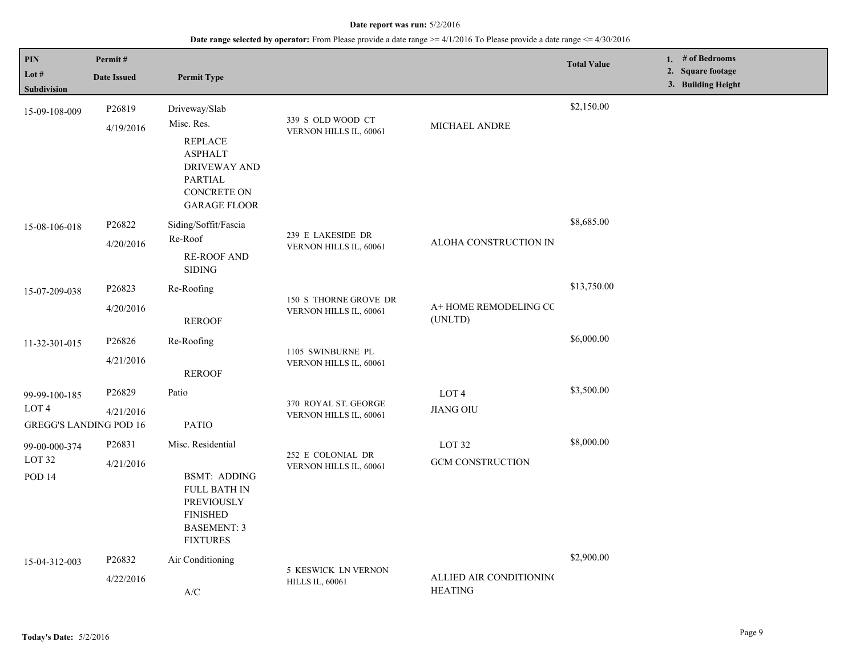| <b>PIN</b><br>Lot #<br>Subdivision                                 | Permit#<br><b>Date Issued</b> | <b>Permit Type</b>                                                                                                                                    |                                                 |                                              | <b>Total Value</b> | 1. $#$ of Bedrooms<br>2. Square footage<br>3. Building Height |
|--------------------------------------------------------------------|-------------------------------|-------------------------------------------------------------------------------------------------------------------------------------------------------|-------------------------------------------------|----------------------------------------------|--------------------|---------------------------------------------------------------|
| 15-09-108-009                                                      | P26819<br>4/19/2016           | Driveway/Slab<br>Misc. Res.<br><b>REPLACE</b><br><b>ASPHALT</b><br><b>DRIVEWAY AND</b><br><b>PARTIAL</b><br><b>CONCRETE ON</b><br><b>GARAGE FLOOR</b> | 339 S OLD WOOD CT<br>VERNON HILLS IL, 60061     | MICHAEL ANDRE                                | \$2,150.00         |                                                               |
| 15-08-106-018                                                      | P26822<br>4/20/2016           | Siding/Soffit/Fascia<br>Re-Roof<br><b>RE-ROOF AND</b><br><b>SIDING</b>                                                                                | 239 E LAKESIDE DR<br>VERNON HILLS IL, 60061     | ALOHA CONSTRUCTION IN                        | \$8,685.00         |                                                               |
| 15-07-209-038                                                      | P26823<br>4/20/2016           | Re-Roofing<br><b>REROOF</b>                                                                                                                           | 150 S THORNE GROVE DR<br>VERNON HILLS IL, 60061 | A+ HOME REMODELING CC<br>(UNLTD)             | \$13,750.00        |                                                               |
| 11-32-301-015                                                      | P26826<br>4/21/2016           | Re-Roofing<br><b>REROOF</b>                                                                                                                           | 1105 SWINBURNE PL<br>VERNON HILLS IL, 60061     |                                              | \$6,000.00         |                                                               |
| 99-99-100-185<br>LOT <sub>4</sub><br><b>GREGG'S LANDING POD 16</b> | P26829<br>4/21/2016           | Patio<br><b>PATIO</b>                                                                                                                                 | 370 ROYAL ST. GEORGE<br>VERNON HILLS IL, 60061  | LOT <sub>4</sub><br><b>JIANG OIU</b>         | \$3,500.00         |                                                               |
| 99-00-000-374<br>LOT <sub>32</sub><br>POD 14                       | P26831<br>4/21/2016           | Misc. Residential<br><b>BSMT: ADDING</b><br><b>FULL BATH IN</b><br>PREVIOUSLY<br><b>FINISHED</b><br><b>BASEMENT: 3</b><br><b>FIXTURES</b>             | 252 E COLONIAL DR<br>VERNON HILLS IL, 60061     | LOT <sub>32</sub><br><b>GCM CONSTRUCTION</b> | \$8,000.00         |                                                               |
| 15-04-312-003                                                      | P26832<br>4/22/2016           | Air Conditioning<br>A/C                                                                                                                               | 5 KESWICK LN VERNON<br><b>HILLS IL, 60061</b>   | ALLIED AIR CONDITIONING<br><b>HEATING</b>    | \$2,900.00         |                                                               |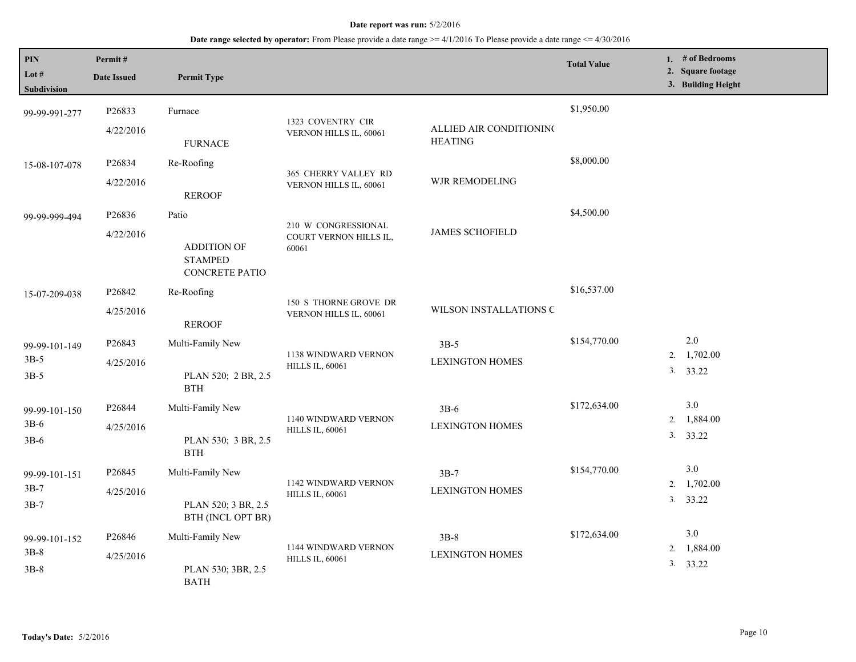| <b>PIN</b><br>Lot #<br>Subdivision | Permit#<br><b>Date Issued</b>   | <b>Permit Type</b>                                                     |                                                        |                                           | <b>Total Value</b> | 1. $#$ of Bedrooms<br>2. Square footage<br>3. Building Height |
|------------------------------------|---------------------------------|------------------------------------------------------------------------|--------------------------------------------------------|-------------------------------------------|--------------------|---------------------------------------------------------------|
| 99-99-991-277                      | P26833<br>4/22/2016             | Furnace<br><b>FURNACE</b>                                              | 1323 COVENTRY CIR<br>VERNON HILLS IL, 60061            | ALLIED AIR CONDITIONING<br><b>HEATING</b> | \$1,950.00         |                                                               |
| 15-08-107-078                      | P <sub>26834</sub><br>4/22/2016 | Re-Roofing<br><b>REROOF</b>                                            | 365 CHERRY VALLEY RD<br>VERNON HILLS IL, 60061         | WJR REMODELING                            | \$8,000.00         |                                                               |
| 99-99-999-494                      | P26836<br>4/22/2016             | Patio<br><b>ADDITION OF</b><br><b>STAMPED</b><br><b>CONCRETE PATIO</b> | 210 W CONGRESSIONAL<br>COURT VERNON HILLS IL,<br>60061 | <b>JAMES SCHOFIELD</b>                    | \$4,500.00         |                                                               |
| 15-07-209-038                      | P26842<br>4/25/2016             | Re-Roofing<br><b>REROOF</b>                                            | 150 S THORNE GROVE DR<br>VERNON HILLS IL, 60061        | WILSON INSTALLATIONS C                    | \$16,537.00        |                                                               |
| 99-99-101-149<br>$3B-5$<br>$3B-5$  | P26843<br>4/25/2016             | Multi-Family New<br>PLAN 520; 2 BR, 2.5<br><b>BTH</b>                  | 1138 WINDWARD VERNON<br><b>HILLS IL, 60061</b>         | $3B-5$<br><b>LEXINGTON HOMES</b>          | \$154,770.00       | $2.0\,$<br>1,702.00<br>2.<br>3. 33.22                         |
| 99-99-101-150<br>$3B-6$<br>$3B-6$  | P26844<br>4/25/2016             | Multi-Family New<br>PLAN 530; 3 BR, 2.5<br><b>BTH</b>                  | 1140 WINDWARD VERNON<br><b>HILLS IL, 60061</b>         | $3B-6$<br><b>LEXINGTON HOMES</b>          | \$172,634.00       | 3.0<br>2.<br>1,884.00<br>3. 33.22                             |
| 99-99-101-151<br>$3B-7$<br>$3B-7$  | P26845<br>4/25/2016             | Multi-Family New<br>PLAN 520; 3 BR, 2.5<br>BTH (INCL OPT BR)           | 1142 WINDWARD VERNON<br><b>HILLS IL, 60061</b>         | $3B-7$<br><b>LEXINGTON HOMES</b>          | \$154,770.00       | 3.0<br>2. 1,702.00<br>3. 33.22                                |
| 99-99-101-152<br>$3B-8$<br>$3B-8$  | P <sub>26846</sub><br>4/25/2016 | Multi-Family New<br>PLAN 530; 3BR, 2.5<br><b>BATH</b>                  | 1144 WINDWARD VERNON<br><b>HILLS IL, 60061</b>         | $3B-8$<br><b>LEXINGTON HOMES</b>          | \$172,634.00       | 3.0<br>2. 1,884.00<br>3. 33.22                                |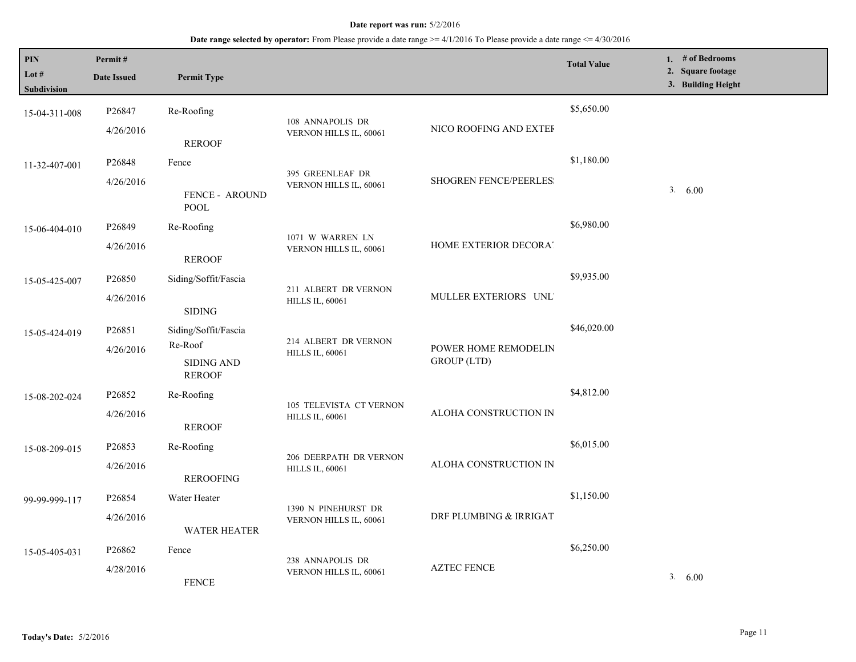| <b>PIN</b><br>Lot $#$<br><b>Subdivision</b> | Permit#<br><b>Date Issued</b> | <b>Permit Type</b>                   |                                                |                                            | <b>Total Value</b> | 1. # of Bedrooms<br>2. Square footage<br>3. Building Height |
|---------------------------------------------|-------------------------------|--------------------------------------|------------------------------------------------|--------------------------------------------|--------------------|-------------------------------------------------------------|
| 15-04-311-008                               | P26847                        | Re-Roofing                           | 108 ANNAPOLIS DR                               |                                            | \$5,650.00         |                                                             |
|                                             | 4/26/2016                     | <b>REROOF</b>                        | VERNON HILLS IL, 60061                         | NICO ROOFING AND EXTEF                     |                    |                                                             |
| 11-32-407-001                               | P <sub>26848</sub>            | Fence                                |                                                |                                            | \$1,180.00         |                                                             |
|                                             | 4/26/2016                     | <b>FENCE - AROUND</b><br><b>POOL</b> | 395 GREENLEAF DR<br>VERNON HILLS IL, 60061     | <b>SHOGREN FENCE/PEERLES:</b>              |                    | 3. 6.00                                                     |
| 15-06-404-010                               | P <sub>26849</sub>            | Re-Roofing                           |                                                |                                            | \$6,980.00         |                                                             |
|                                             | 4/26/2016                     | <b>REROOF</b>                        | 1071 W WARREN LN<br>VERNON HILLS IL, 60061     | HOME EXTERIOR DECORAT                      |                    |                                                             |
| 15-05-425-007                               | P26850                        | Siding/Soffit/Fascia                 |                                                |                                            | \$9,935.00         |                                                             |
|                                             | 4/26/2016                     | <b>SIDING</b>                        | 211 ALBERT DR VERNON<br><b>HILLS IL, 60061</b> | MULLER EXTERIORS UNL'                      |                    |                                                             |
| 15-05-424-019                               | P26851                        | Siding/Soffit/Fascia                 |                                                |                                            | \$46,020.00        |                                                             |
|                                             | 4/26/2016                     | Re-Roof                              | 214 ALBERT DR VERNON<br><b>HILLS IL, 60061</b> | POWER HOME REMODELIN<br><b>GROUP</b> (LTD) |                    |                                                             |
|                                             |                               | <b>SIDING AND</b><br><b>REROOF</b>   |                                                |                                            |                    |                                                             |
| 15-08-202-024                               | P <sub>26852</sub>            | Re-Roofing                           | 105 TELEVISTA CT VERNON                        |                                            | \$4,812.00         |                                                             |
|                                             | 4/26/2016                     | <b>REROOF</b>                        | <b>HILLS IL, 60061</b>                         | ALOHA CONSTRUCTION IN                      |                    |                                                             |
| 15-08-209-015                               | P26853                        | Re-Roofing                           | 206 DEERPATH DR VERNON                         |                                            | \$6,015.00         |                                                             |
|                                             | 4/26/2016                     | <b>REROOFING</b>                     | <b>HILLS IL, 60061</b>                         | ALOHA CONSTRUCTION IN                      |                    |                                                             |
| 99-99-999-117                               | P26854                        | Water Heater                         |                                                |                                            | \$1,150.00         |                                                             |
|                                             | 4/26/2016                     | <b>WATER HEATER</b>                  | 1390 N PINEHURST DR<br>VERNON HILLS IL, 60061  | DRF PLUMBING & IRRIGAT                     |                    |                                                             |
| 15-05-405-031                               | P <sub>26862</sub>            | Fence                                |                                                | <b>AZTEC FENCE</b>                         | \$6,250.00         |                                                             |
|                                             | 4/28/2016                     | <b>FENCE</b>                         | 238 ANNAPOLIS DR<br>VERNON HILLS IL, 60061     |                                            |                    | 3. 6.00                                                     |